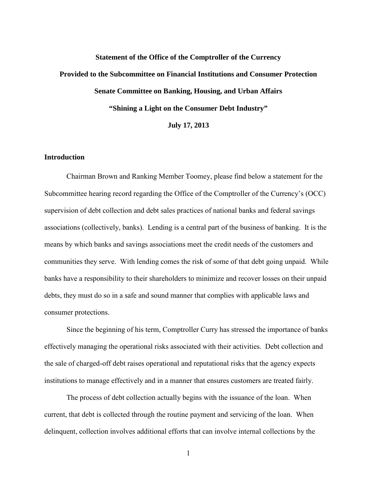# **Statement of the Office of the Comptroller of the Currency Provided to the Subcommittee on Financial Institutions and Consumer Protection Senate Committee on Banking, Housing, and Urban Affairs "Shining a Light on the Consumer Debt Industry" July 17, 2013**

#### **Introduction**

Chairman Brown and Ranking Member Toomey, please find below a statement for the Subcommittee hearing record regarding the Office of the Comptroller of the Currency's (OCC) supervision of debt collection and debt sales practices of national banks and federal savings associations (collectively, banks). Lending is a central part of the business of banking. It is the means by which banks and savings associations meet the credit needs of the customers and communities they serve. With lending comes the risk of some of that debt going unpaid. While banks have a responsibility to their shareholders to minimize and recover losses on their unpaid debts, they must do so in a safe and sound manner that complies with applicable laws and consumer protections.

Since the beginning of his term, Comptroller Curry has stressed the importance of banks effectively managing the operational risks associated with their activities. Debt collection and the sale of charged-off debt raises operational and reputational risks that the agency expects institutions to manage effectively and in a manner that ensures customers are treated fairly.

The process of debt collection actually begins with the issuance of the loan. When current, that debt is collected through the routine payment and servicing of the loan. When delinquent, collection involves additional efforts that can involve internal collections by the

1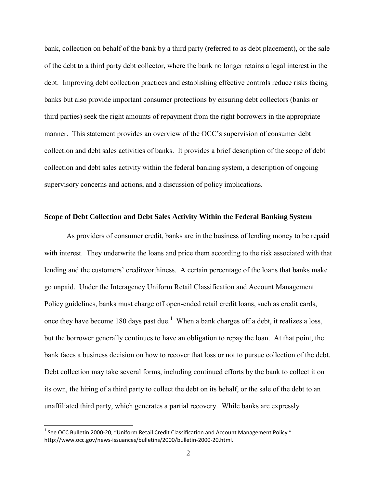bank, collection on behalf of the bank by a third party (referred to as debt placement), or the sale of the debt to a third party debt collector, where the bank no longer retains a legal interest in the debt. Improving debt collection practices and establishing effective controls reduce risks facing banks but also provide important consumer protections by ensuring debt collectors (banks or third parties) seek the right amounts of repayment from the right borrowers in the appropriate manner. This statement provides an overview of the OCC's supervision of consumer debt collection and debt sales activities of banks. It provides a brief description of the scope of debt collection and debt sales activity within the federal banking system, a description of ongoing supervisory concerns and actions, and a discussion of policy implications.

#### **Scope of Debt Collection and Debt Sales Activity Within the Federal Banking System**

As providers of consumer credit, banks are in the business of lending money to be repaid with interest. They underwrite the loans and price them according to the risk associated with that lending and the customers' creditworthiness. A certain percentage of the loans that banks make go unpaid. Under the Interagency Uniform Retail Classification and Account Management Policy guidelines, banks must charge off open-ended retail credit loans, such as credit cards, once they have become [1](#page-1-0)80 days past due.<sup>1</sup> When a bank charges off a debt, it realizes a loss, but the borrower generally continues to have an obligation to repay the loan. At that point, the bank faces a business decision on how to recover that loss or not to pursue collection of the debt. Debt collection may take several forms, including continued efforts by the bank to collect it on its own, the hiring of a third party to collect the debt on its behalf, or the sale of the debt to an unaffiliated third party, which generates a partial recovery. While banks are expressly

 $\overline{\phantom{a}}$ 

<span id="page-1-0"></span> $1$  See OCC Bulletin 2000-20, "Uniform Retail Credit Classification and Account Management Policy." http://www.occ.gov/news-issuances/bulletins/2000/bulletin-2000-20.html.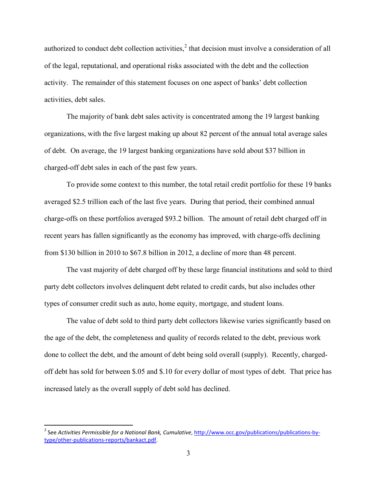authorized to conduct debt collection activities, $\frac{2}{3}$  $\frac{2}{3}$  $\frac{2}{3}$  that decision must involve a consideration of all of the legal, reputational, and operational risks associated with the debt and the collection activity. The remainder of this statement focuses on one aspect of banks' debt collection activities, debt sales.

The majority of bank debt sales activity is concentrated among the 19 largest banking organizations, with the five largest making up about 82 percent of the annual total average sales of debt. On average, the 19 largest banking organizations have sold about \$37 billion in charged-off debt sales in each of the past few years.

To provide some context to this number, the total retail credit portfolio for these 19 banks averaged \$2.5 trillion each of the last five years. During that period, their combined annual charge-offs on these portfolios averaged \$93.2 billion. The amount of retail debt charged off in recent years has fallen significantly as the economy has improved, with charge-offs declining from \$130 billion in 2010 to \$67.8 billion in 2012, a decline of more than 48 percent.

The vast majority of debt charged off by these large financial institutions and sold to third party debt collectors involves delinquent debt related to credit cards, but also includes other types of consumer credit such as auto, home equity, mortgage, and student loans.

The value of debt sold to third party debt collectors likewise varies significantly based on the age of the debt, the completeness and quality of records related to the debt, previous work done to collect the debt, and the amount of debt being sold overall (supply). Recently, chargedoff debt has sold for between \$.05 and \$.10 for every dollar of most types of debt. That price has increased lately as the overall supply of debt sold has declined.

 $\overline{\phantom{a}}$ 

<span id="page-2-0"></span><sup>&</sup>lt;sup>2</sup> See Activities Permissible for a National Bank, Cumulative[, http://www.occ.gov/publications/publications-by](http://www.occ.gov/publications/publications-by-type/other-publications-reports/bankact.pdf)[type/other-publications-reports/bankact.pdf.](http://www.occ.gov/publications/publications-by-type/other-publications-reports/bankact.pdf)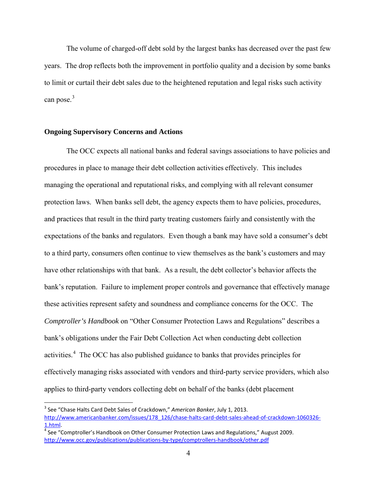The volume of charged-off debt sold by the largest banks has decreased over the past few years. The drop reflects both the improvement in portfolio quality and a decision by some banks to limit or curtail their debt sales due to the heightened reputation and legal risks such activity can pose.<sup>[3](#page-3-0)</sup>

#### **Ongoing Supervisory Concerns and Actions**

 $\overline{\phantom{a}}$ 

The OCC expects all national banks and federal savings associations to have policies and procedures in place to manage their debt collection activities effectively. This includes managing the operational and reputational risks, and complying with all relevant consumer protection laws. When banks sell debt, the agency expects them to have policies, procedures, and practices that result in the third party treating customers fairly and consistently with the expectations of the banks and regulators. Even though a bank may have sold a consumer's debt to a third party, consumers often continue to view themselves as the bank's customers and may have other relationships with that bank. As a result, the debt collector's behavior affects the bank's reputation. Failure to implement proper controls and governance that effectively manage these activities represent safety and soundness and compliance concerns for the OCC. The *Comptroller's Handbook* on "Other Consumer Protection Laws and Regulations" describes a bank's obligations under the Fair Debt Collection Act when conducting debt collection activities.<sup>[4](#page-3-1)</sup> The OCC has also published guidance to banks that provides principles for effectively managing risks associated with vendors and third-party service providers, which also applies to third-party vendors collecting debt on behalf of the banks (debt placement

<span id="page-3-0"></span><sup>3</sup> See "Chase Halts Card Debt Sales of Crackdown," *American Banker*, July 1, 2013. [http://www.americanbanker.com/issues/178\\_126/chase-halts-card-debt-sales-ahead-of-crackdown-1060326-](http://www.americanbanker.com/issues/178_126/chase-halts-card-debt-sales-ahead-of-crackdown-1060326-1.html) [1.html.](http://www.americanbanker.com/issues/178_126/chase-halts-card-debt-sales-ahead-of-crackdown-1060326-1.html)<br><sup>[4](http://www.americanbanker.com/issues/178_126/chase-halts-card-debt-sales-ahead-of-crackdown-1060326-1.html)</sup> See "Comptroller's Handbook on Other Consumer Protection Laws and Regulations," August 2009.

<span id="page-3-1"></span><http://www.occ.gov/publications/publications-by-type/comptrollers-handbook/other.pdf>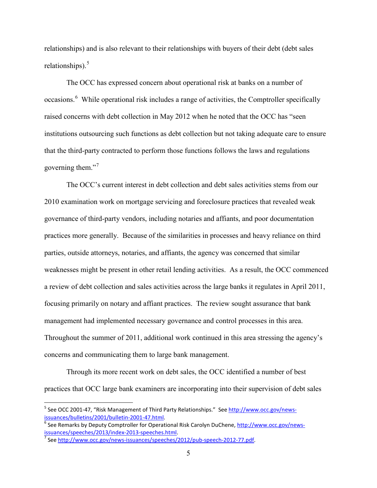relationships) and is also relevant to their relationships with buyers of their debt (debt sales relationships). $5$ 

The OCC has expressed concern about operational risk at banks on a number of occasions.<sup>[6](#page-4-1)</sup> While operational risk includes a range of activities, the Comptroller specifically raised concerns with debt collection in May 2012 when he noted that the OCC has "seen institutions outsourcing such functions as debt collection but not taking adequate care to ensure that the third-party contracted to perform those functions follows the laws and regulations governing them."<sup>[7](#page-4-2)</sup>

The OCC's current interest in debt collection and debt sales activities stems from our 2010 examination work on mortgage servicing and foreclosure practices that revealed weak governance of third-party vendors, including notaries and affiants, and poor documentation practices more generally. Because of the similarities in processes and heavy reliance on third parties, outside attorneys, notaries, and affiants, the agency was concerned that similar weaknesses might be present in other retail lending activities. As a result, the OCC commenced a review of debt collection and sales activities across the large banks it regulates in April 2011, focusing primarily on notary and affiant practices. The review sought assurance that bank management had implemented necessary governance and control processes in this area. Throughout the summer of 2011, additional work continued in this area stressing the agency's concerns and communicating them to large bank management.

Through its more recent work on debt sales, the OCC identified a number of best practices that OCC large bank examiners are incorporating into their supervision of debt sales

 $\overline{\phantom{a}}$ 

<span id="page-4-0"></span><sup>&</sup>lt;sup>5</sup> See OCC 2001-47, "Risk Management of Third Party Relationships." See http://www.occ.gov/news-<br>issuances/bulletins/2001/bulletin-2001-47.html.

<span id="page-4-1"></span><sup>&</sup>lt;sup>[6](http://www.occ.gov/static/news-issuances/bulletins/rescinded/bulletin-2001-47.pdf)</sup> See Remarks by Deputy Comptroller for Operational Risk Carolyn DuChene, <u>http://www.occ.gov/news-</u><br>issuances/speeches/2013/index-2013-speeches.html.

<span id="page-4-2"></span> $^7$  See [http://www.occ.gov/news-issuances/speeches/2012/pub-speech-2012-77.pdf.](http://www.occ.gov/news-issuances/speeches/2012/pub-speech-2012-77.pdf)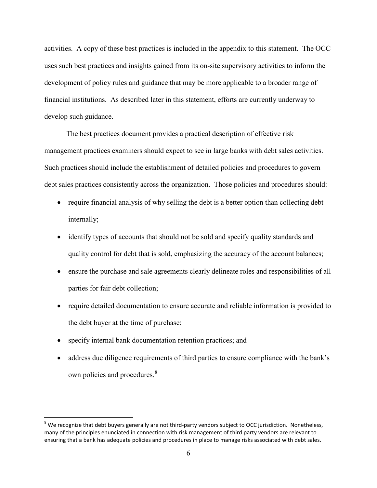activities. A copy of these best practices is included in the appendix to this statement. The OCC uses such best practices and insights gained from its on-site supervisory activities to inform the development of policy rules and guidance that may be more applicable to a broader range of financial institutions. As described later in this statement, efforts are currently underway to develop such guidance.

The best practices document provides a practical description of effective risk management practices examiners should expect to see in large banks with debt sales activities. Such practices should include the establishment of detailed policies and procedures to govern debt sales practices consistently across the organization. Those policies and procedures should:

- require financial analysis of why selling the debt is a better option than collecting debt internally;
- identify types of accounts that should not be sold and specify quality standards and quality control for debt that is sold, emphasizing the accuracy of the account balances;
- ensure the purchase and sale agreements clearly delineate roles and responsibilities of all parties for fair debt collection;
- require detailed documentation to ensure accurate and reliable information is provided to the debt buyer at the time of purchase;
- specify internal bank documentation retention practices; and

l

• address due diligence requirements of third parties to ensure compliance with the bank's own policies and procedures.<sup>[8](#page-5-0)</sup>

<span id="page-5-0"></span> $8$  We recognize that debt buyers generally are not third-party vendors subject to OCC jurisdiction. Nonetheless, many of the principles enunciated in connection with risk management of third party vendors are relevant to ensuring that a bank has adequate policies and procedures in place to manage risks associated with debt sales.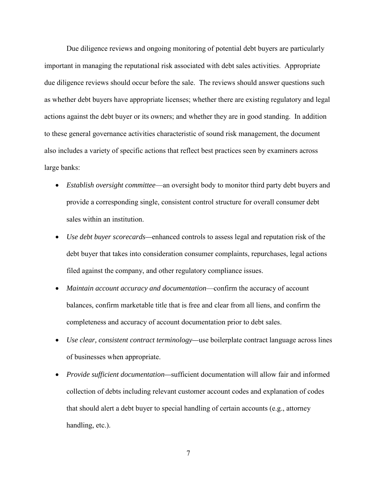Due diligence reviews and ongoing monitoring of potential debt buyers are particularly important in managing the reputational risk associated with debt sales activities. Appropriate due diligence reviews should occur before the sale. The reviews should answer questions such as whether debt buyers have appropriate licenses; whether there are existing regulatory and legal actions against the debt buyer or its owners; and whether they are in good standing. In addition to these general governance activities characteristic of sound risk management, the document also includes a variety of specific actions that reflect best practices seen by examiners across large banks:

- *Establish oversight committee*—an oversight body to monitor third party debt buyers and provide a corresponding single, consistent control structure for overall consumer debt sales within an institution.
- *Use debt buyer scorecards—*enhanced controls to assess legal and reputation risk of the debt buyer that takes into consideration consumer complaints, repurchases, legal actions filed against the company, and other regulatory compliance issues.
- *Maintain account accuracy and documentation*—confirm the accuracy of account balances, confirm marketable title that is free and clear from all liens, and confirm the completeness and accuracy of account documentation prior to debt sales.
- *Use clear, consistent contract terminology—*use boilerplate contract language across lines of businesses when appropriate.
- *Provide sufficient documentation—*sufficient documentation will allow fair and informed collection of debts including relevant customer account codes and explanation of codes that should alert a debt buyer to special handling of certain accounts (e.g., attorney handling, etc.).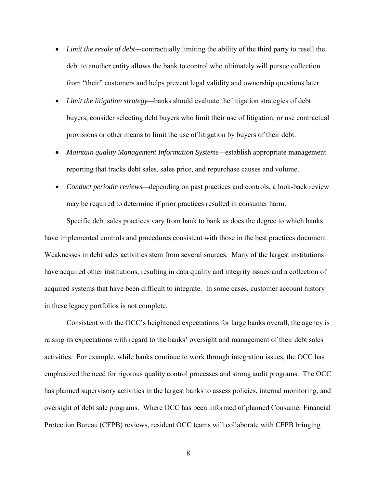- *Limit the resale of debt—*contractually limiting the ability of the third party to resell the debt to another entity allows the bank to control who ultimately will pursue collection from "their" customers and helps prevent legal validity and ownership questions later.
- *Limit the litigation strategy—*banks should evaluate the litigation strategies of debt buyers, consider selecting debt buyers who limit their use of litigation, or use contractual provisions or other means to limit the use of litigation by buyers of their debt.
- *Maintain quality Management Information Systems—*establish appropriate management reporting that tracks debt sales, sales price, and repurchase causes and volume.
- *Conduct periodic reviews—*depending on past practices and controls, a look-back review may be required to determine if prior practices resulted in consumer harm.

Specific debt sales practices vary from bank to bank as does the degree to which banks have implemented controls and procedures consistent with those in the best practices document. Weaknesses in debt sales activities stem from several sources. Many of the largest institutions have acquired other institutions, resulting in data quality and integrity issues and a collection of acquired systems that have been difficult to integrate. In some cases, customer account history in these legacy portfolios is not complete.

Consistent with the OCC's heightened expectations for large banks overall, the agency is raising its expectations with regard to the banks' oversight and management of their debt sales activities. For example, while banks continue to work through integration issues, the OCC has emphasized the need for rigorous quality control processes and strong audit programs. The OCC has planned supervisory activities in the largest banks to assess policies, internal monitoring, and oversight of debt sale programs. Where OCC has been informed of planned Consumer Financial Protection Bureau (CFPB) reviews, resident OCC teams will collaborate with CFPB bringing

8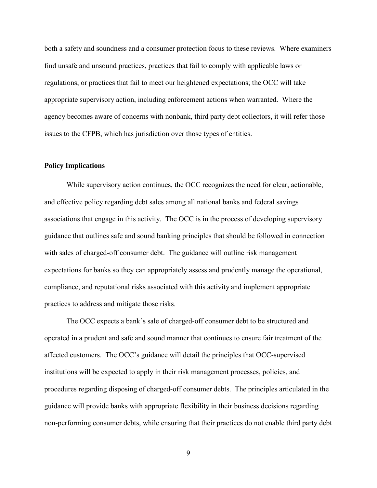both a safety and soundness and a consumer protection focus to these reviews. Where examiners find unsafe and unsound practices, practices that fail to comply with applicable laws or regulations, or practices that fail to meet our heightened expectations; the OCC will take appropriate supervisory action, including enforcement actions when warranted. Where the agency becomes aware of concerns with nonbank, third party debt collectors, it will refer those issues to the CFPB, which has jurisdiction over those types of entities.

#### **Policy Implications**

While supervisory action continues, the OCC recognizes the need for clear, actionable, and effective policy regarding debt sales among all national banks and federal savings associations that engage in this activity. The OCC is in the process of developing supervisory guidance that outlines safe and sound banking principles that should be followed in connection with sales of charged-off consumer debt. The guidance will outline risk management expectations for banks so they can appropriately assess and prudently manage the operational, compliance, and reputational risks associated with this activity and implement appropriate practices to address and mitigate those risks.

The OCC expects a bank's sale of charged-off consumer debt to be structured and operated in a prudent and safe and sound manner that continues to ensure fair treatment of the affected customers. The OCC's guidance will detail the principles that OCC-supervised institutions will be expected to apply in their risk management processes, policies, and procedures regarding disposing of charged-off consumer debts. The principles articulated in the guidance will provide banks with appropriate flexibility in their business decisions regarding non-performing consumer debts, while ensuring that their practices do not enable third party debt

9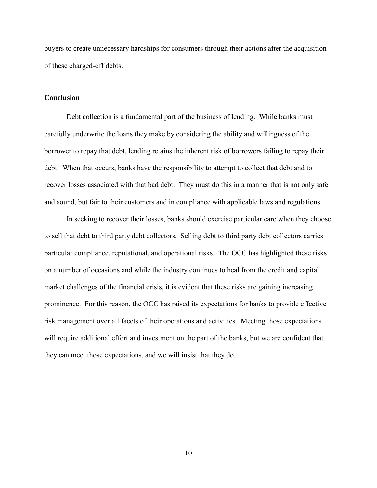buyers to create unnecessary hardships for consumers through their actions after the acquisition of these charged-off debts.

#### **Conclusion**

Debt collection is a fundamental part of the business of lending. While banks must carefully underwrite the loans they make by considering the ability and willingness of the borrower to repay that debt, lending retains the inherent risk of borrowers failing to repay their debt. When that occurs, banks have the responsibility to attempt to collect that debt and to recover losses associated with that bad debt. They must do this in a manner that is not only safe and sound, but fair to their customers and in compliance with applicable laws and regulations.

In seeking to recover their losses, banks should exercise particular care when they choose to sell that debt to third party debt collectors. Selling debt to third party debt collectors carries particular compliance, reputational, and operational risks. The OCC has highlighted these risks on a number of occasions and while the industry continues to heal from the credit and capital market challenges of the financial crisis, it is evident that these risks are gaining increasing prominence. For this reason, the OCC has raised its expectations for banks to provide effective risk management over all facets of their operations and activities. Meeting those expectations will require additional effort and investment on the part of the banks, but we are confident that they can meet those expectations, and we will insist that they do.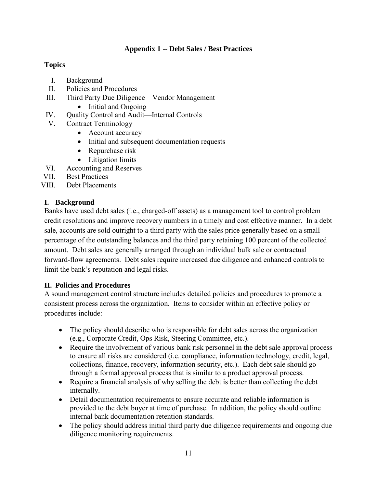## **Appendix 1 -- Debt Sales / Best Practices**

## **Topics**

- I. Background
- II. Policies and Procedures
- III. Third Party Due Diligence—Vendor Management
	- Initial and Ongoing
- IV. Quality Control and Audit—Internal Controls
- V. Contract Terminology
	- Account accuracy
	- Initial and subsequent documentation requests
	- Repurchase risk
	- Litigation limits
- VI. Accounting and Reserves
- VII. Best Practices
- VIII. Debt Placements

## **I. Background**

Banks have used debt sales (i.e., charged-off assets) as a management tool to control problem credit resolutions and improve recovery numbers in a timely and cost effective manner. In a debt sale, accounts are sold outright to a third party with the sales price generally based on a small percentage of the outstanding balances and the third party retaining 100 percent of the collected amount. Debt sales are generally arranged through an individual bulk sale or contractual forward-flow agreements. Debt sales require increased due diligence and enhanced controls to limit the bank's reputation and legal risks.

### **II. Policies and Procedures**

A sound management control structure includes detailed policies and procedures to promote a consistent process across the organization. Items to consider within an effective policy or procedures include:

- The policy should describe who is responsible for debt sales across the organization (e.g., Corporate Credit, Ops Risk, Steering Committee, etc.).
- Require the involvement of various bank risk personnel in the debt sale approval process to ensure all risks are considered (i.e. compliance, information technology, credit, legal, collections, finance, recovery, information security, etc.). Each debt sale should go through a formal approval process that is similar to a product approval process.
- Require a financial analysis of why selling the debt is better than collecting the debt internally.
- Detail documentation requirements to ensure accurate and reliable information is provided to the debt buyer at time of purchase. In addition, the policy should outline internal bank documentation retention standards.
- The policy should address initial third party due diligence requirements and ongoing due diligence monitoring requirements.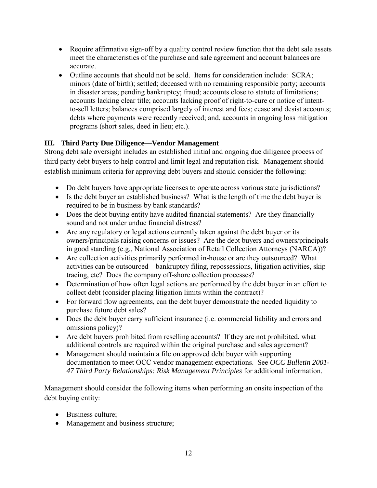- Require affirmative sign-off by a quality control review function that the debt sale assets meet the characteristics of the purchase and sale agreement and account balances are accurate.
- Outline accounts that should not be sold. Items for consideration include: SCRA; minors (date of birth); settled; deceased with no remaining responsible party; accounts in disaster areas; pending bankruptcy; fraud; accounts close to statute of limitations; accounts lacking clear title; accounts lacking proof of right-to-cure or notice of intentto-sell letters; balances comprised largely of interest and fees; cease and desist accounts; debts where payments were recently received; and, accounts in ongoing loss mitigation programs (short sales, deed in lieu; etc.).

# **III. Third Party Due Diligence—Vendor Management**

Strong debt sale oversight includes an established initial and ongoing due diligence process of third party debt buyers to help control and limit legal and reputation risk. Management should establish minimum criteria for approving debt buyers and should consider the following:

- Do debt buyers have appropriate licenses to operate across various state jurisdictions?
- Is the debt buyer an established business? What is the length of time the debt buyer is required to be in business by bank standards?
- Does the debt buying entity have audited financial statements? Are they financially sound and not under undue financial distress?
- Are any regulatory or legal actions currently taken against the debt buyer or its owners/principals raising concerns or issues? Are the debt buyers and owners/principals in good standing (e.g., National Association of Retail Collection Attorneys (NARCA))?
- Are collection activities primarily performed in-house or are they outsourced? What activities can be outsourced—bankruptcy filing, repossessions, litigation activities, skip tracing, etc? Does the company off-shore collection processes?
- Determination of how often legal actions are performed by the debt buyer in an effort to collect debt (consider placing litigation limits within the contract)?
- For forward flow agreements, can the debt buyer demonstrate the needed liquidity to purchase future debt sales?
- Does the debt buyer carry sufficient insurance (i.e. commercial liability and errors and omissions policy)?
- Are debt buyers prohibited from reselling accounts? If they are not prohibited, what additional controls are required within the original purchase and sales agreement?
- Management should maintain a file on approved debt buyer with supporting documentation to meet OCC vendor management expectations. See *OCC Bulletin 2001- 47 Third Party Relationships: Risk Management Principles* for additional information.

Management should consider the following items when performing an onsite inspection of the debt buying entity:

- Business culture:
- Management and business structure;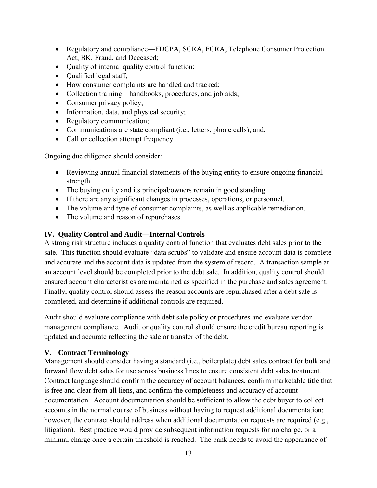- Regulatory and compliance—FDCPA, SCRA, FCRA, Telephone Consumer Protection Act, BK, Fraud, and Deceased;
- Quality of internal quality control function;
- Qualified legal staff;
- How consumer complaints are handled and tracked;
- Collection training—handbooks, procedures, and job aids;
- Consumer privacy policy;
- Information, data, and physical security;
- Regulatory communication;
- Communications are state compliant (i.e., letters, phone calls); and,
- Call or collection attempt frequency.

Ongoing due diligence should consider:

- Reviewing annual financial statements of the buying entity to ensure ongoing financial strength.
- The buying entity and its principal/owners remain in good standing.
- If there are any significant changes in processes, operations, or personnel.
- The volume and type of consumer complaints, as well as applicable remediation.
- The volume and reason of repurchases.

## **IV. Quality Control and Audit—Internal Controls**

A strong risk structure includes a quality control function that evaluates debt sales prior to the sale. This function should evaluate "data scrubs" to validate and ensure account data is complete and accurate and the account data is updated from the system of record. A transaction sample at an account level should be completed prior to the debt sale. In addition, quality control should ensured account characteristics are maintained as specified in the purchase and sales agreement. Finally, quality control should assess the reason accounts are repurchased after a debt sale is completed, and determine if additional controls are required.

Audit should evaluate compliance with debt sale policy or procedures and evaluate vendor management compliance. Audit or quality control should ensure the credit bureau reporting is updated and accurate reflecting the sale or transfer of the debt.

### **V. Contract Terminology**

Management should consider having a standard (i.e., boilerplate) debt sales contract for bulk and forward flow debt sales for use across business lines to ensure consistent debt sales treatment. Contract language should confirm the accuracy of account balances, confirm marketable title that is free and clear from all liens, and confirm the completeness and accuracy of account documentation. Account documentation should be sufficient to allow the debt buyer to collect accounts in the normal course of business without having to request additional documentation; however, the contract should address when additional documentation requests are required (e.g., litigation). Best practice would provide subsequent information requests for no charge, or a minimal charge once a certain threshold is reached. The bank needs to avoid the appearance of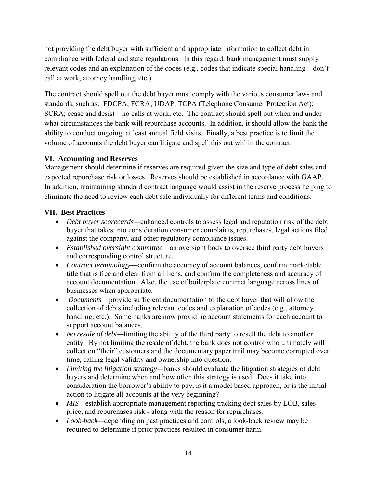not providing the debt buyer with sufficient and appropriate information to collect debt in compliance with federal and state regulations. In this regard, bank management must supply relevant codes and an explanation of the codes (e.g., codes that indicate special handling—don't call at work, attorney handling, etc.).

The contract should spell out the debt buyer must comply with the various consumer laws and standards, such as: FDCPA; FCRA; UDAP, TCPA (Telephone Consumer Protection Act); SCRA; cease and desist—no calls at work; etc. The contract should spell out when and under what circumstances the bank will repurchase accounts. In addition, it should allow the bank the ability to conduct ongoing, at least annual field visits. Finally, a best practice is to limit the volume of accounts the debt buyer can litigate and spell this out within the contract.

# **VI. Accounting and Reserves**

Management should determine if reserves are required given the size and type of debt sales and expected repurchase risk or losses. Reserves should be established in accordance with GAAP. In addition, maintaining standard contract language would assist in the reserve process helping to eliminate the need to review each debt sale individually for different terms and conditions.

# **VII. Best Practices**

- *Debt buyer scorecards—*enhanced controls to assess legal and reputation risk of the debt buyer that takes into consideration consumer complaints, repurchases, legal actions filed against the company, and other regulatory compliance issues.
- *Established oversight committee*—an oversight body to oversee third party debt buyers and corresponding control structure.
- *Contract terminology*—confirm the accuracy of account balances, confirm marketable title that is free and clear from all liens, and confirm the completeness and accuracy of account documentation. Also, the use of boilerplate contract language across lines of businesses when appropriate.
- *Documents*—provide sufficient documentation to the debt buyer that will allow the collection of debts including relevant codes and explanation of codes (e.g., attorney handling, etc.). Some banks are now providing account statements for each account to support account balances.
- *No resale of debt*—limiting the ability of the third party to resell the debt to another entity*.* By not limiting the resale of debt, the bank does not control who ultimately will collect on "their" customers and the documentary paper trail may become corrupted over time, calling legal validity and ownership into question.
- *Limiting the litigation strategy—*banks should evaluate the litigation strategies of debt buyers and determine when and how often this strategy is used. Does it take into consideration the borrower's ability to pay, is it a model based approach, or is the initial action to litigate all accounts at the very beginning?
- *MIS*—establish appropriate management reporting tracking debt sales by LOB, sales price, and repurchases risk - along with the reason for repurchases.
- *Look-back—*depending on past practices and controls, a look-back review may be required to determine if prior practices resulted in consumer harm.